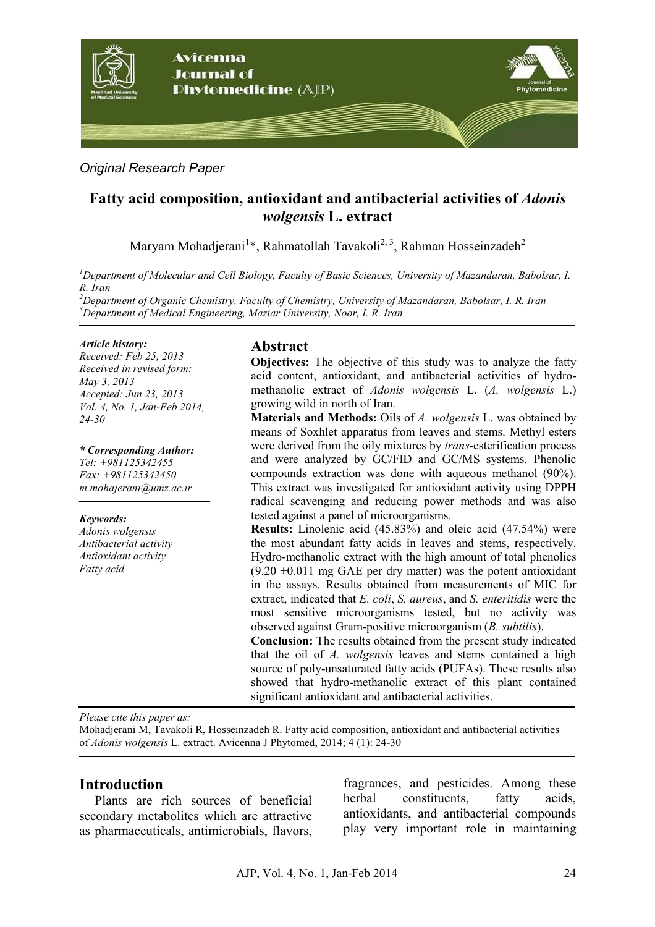

### *Original Research Paper*

# **Fatty acid composition, antioxidant and antibacterial activities of** *Adonis wolgensis* **L. extract**

Maryam Mohadjerani<sup>1</sup>\*, Rahmatollah Tavakoli<sup>2, 3</sup>, Rahman Hosseinzadeh<sup>2</sup>

*<sup>1</sup>Department of Molecular and Cell Biology, Faculty of Basic Sciences, University of Mazandaran, Babolsar, I. R. Iran* 

*<sup>2</sup>Department of Organic Chemistry, Faculty of Chemistry, University of Mazandaran, Babolsar, I. R. Iran <sup>3</sup>Department of Medical Engineering, Maziar University, Noor, I. R. Iran* 

#### *Article history:*

*Received: Feb 25, 2013 Received in revised form: May 3, 2013 Accepted: Jun 23, 2013 Vol. 4, No. 1, Jan-Feb 2014, 24-30*

*\* Corresponding Author:* 

*Tel: +981125342455 Fax: +981125342450 m.mohajerani@umz.ac.ir* 

#### *Keywords:*

*Adonis wolgensis Antibacterial activity Antioxidant activity Fatty acid* 

### **Abstract**

**Objectives:** The objective of this study was to analyze the fatty acid content, antioxidant, and antibacterial activities of hydromethanolic extract of *Adonis wolgensis* L. (*A. wolgensis* L.) growing wild in north of Iran.

**Materials and Methods:** Oils of *A. wolgensis* L. was obtained by means of Soxhlet apparatus from leaves and stems. Methyl esters were derived from the oily mixtures by *trans*-esterification process and were analyzed by GC/FID and GC/MS systems. Phenolic compounds extraction was done with aqueous methanol (90%). This extract was investigated for antioxidant activity using DPPH radical scavenging and reducing power methods and was also tested against a panel of microorganisms.

**Results:** Linolenic acid (45.83%) and oleic acid (47.54%) were the most abundant fatty acids in leaves and stems, respectively. Hydro-methanolic extract with the high amount of total phenolics  $(9.20 \pm 0.011$  mg GAE per dry matter) was the potent antioxidant in the assays. Results obtained from measurements of MIC for extract, indicated that *E. coli*, *S. aureus*, and *S. enteritidis* were the most sensitive microorganisms tested, but no activity was observed against Gram-positive microorganism (*B. subtilis*).

**Conclusion:** The results obtained from the present study indicated that the oil of *A. wolgensis* leaves and stems contained a high source of poly-unsaturated fatty acids (PUFAs). These results also showed that hydro-methanolic extract of this plant contained significant antioxidant and antibacterial activities.

*Please cite this paper as:* 

Mohadjerani M, Tavakoli R, Hosseinzadeh R. Fatty acid composition, antioxidant and antibacterial activities of *Adonis wolgensis* L. extract. Avicenna J Phytomed, 2014; 4 (1): 24-30

### **Introduction**

Plants are rich sources of beneficial secondary metabolites which are attractive as pharmaceuticals, antimicrobials, flavors, fragrances, and pesticides. Among these herbal constituents, fatty acids, antioxidants, and antibacterial compounds play very important role in maintaining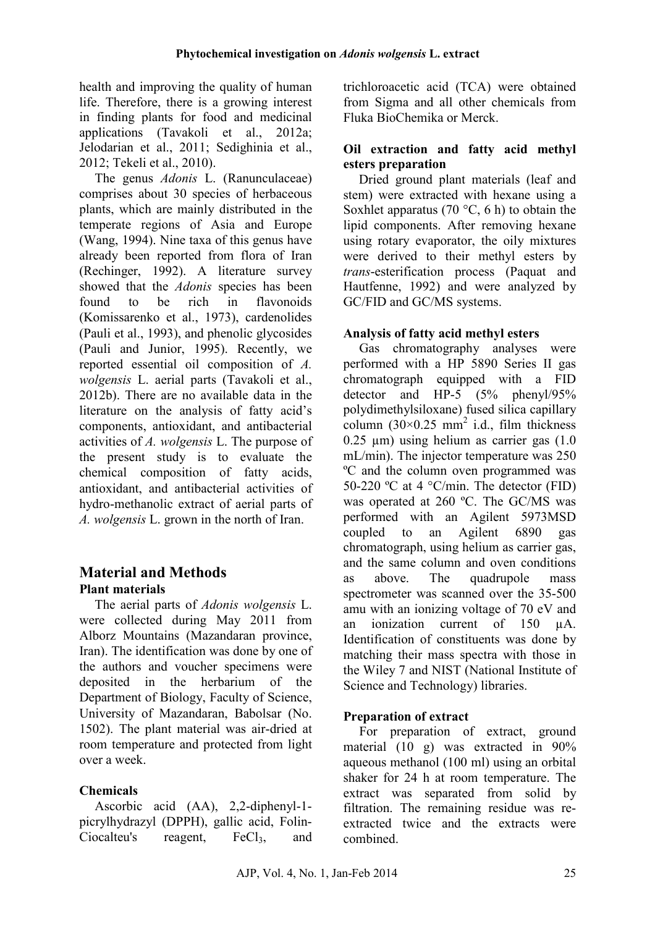health and improving the quality of human life. Therefore, there is a growing interest in finding plants for food and medicinal applications (Tavakoli et al., 2012a; Jelodarian et al., 2011; Sedighinia et al., 2012; Tekeli et al., 2010).

The genus *Adonis* L. (Ranunculaceae) comprises about 30 species of herbaceous plants, which are mainly distributed in the temperate regions of Asia and Europe (Wang, 1994). Nine taxa of this genus have already been reported from flora of Iran (Rechinger, 1992). A literature survey showed that the *Adonis* species has been found to be rich in flavonoids (Komissarenko et al., 1973), cardenolides (Pauli et al., 1993), and phenolic glycosides (Pauli and Junior, 1995). Recently, we reported essential oil composition of *A. wolgensis* L. aerial parts (Tavakoli et al., 2012b). There are no available data in the literature on the analysis of fatty acid's components, antioxidant, and antibacterial activities of *A. wolgensis* L. The purpose of the present study is to evaluate the chemical composition of fatty acids, antioxidant, and antibacterial activities of hydro-methanolic extract of aerial parts of *A. wolgensis* L. grown in the north of Iran.

# **Material and Methods Plant materials**

The aerial parts of *Adonis wolgensis* L. were collected during May 2011 from Alborz Mountains (Mazandaran province, Iran). The identification was done by one of the authors and voucher specimens were deposited in the herbarium of the Department of Biology, Faculty of Science, University of Mazandaran, Babolsar (No. 1502). The plant material was air-dried at room temperature and protected from light over a week.

# **Chemicals**

Ascorbic acid (AA), 2,2-diphenyl-1 picrylhydrazyl (DPPH), gallic acid, Folin- $Ciocalteu's$  reagent,  $FeCl<sub>3</sub>$ , and trichloroacetic acid (TCA) were obtained from Sigma and all other chemicals from Fluka BioChemika or Merck.

### **Oil extraction and fatty acid methyl esters preparation**

Dried ground plant materials (leaf and stem) were extracted with hexane using a Soxhlet apparatus (70 $\degree$ C, 6 h) to obtain the lipid components. After removing hexane using rotary evaporator, the oily mixtures were derived to their methyl esters by *trans*-esterification process (Paquat and Hautfenne, 1992) and were analyzed by GC/FID and GC/MS systems.

## **Analysis of fatty acid methyl esters**

Gas chromatography analyses were performed with a HP 5890 Series II gas chromatograph equipped with a FID detector and HP-5 (5% phenyl/95% polydimethylsiloxane) fused silica capillary column  $(30\times0.25 \text{ mm}^2)$  i.d., film thickness  $0.25$  um) using helium as carrier gas  $(1.0)$ mL/min). The injector temperature was 250 ºC and the column oven programmed was 50-220 °C at 4 °C/min. The detector (FID) was operated at 260 ºC. The GC/MS was performed with an Agilent 5973MSD coupled to an Agilent 6890 gas chromatograph, using helium as carrier gas, and the same column and oven conditions as above. The quadrupole mass spectrometer was scanned over the 35-500 amu with an ionizing voltage of 70 eV and an ionization current of 150 µA. Identification of constituents was done by matching their mass spectra with those in the Wiley 7 and NIST (National Institute of Science and Technology) libraries.

# **Preparation of extract**

For preparation of extract, ground material (10 g) was extracted in 90% aqueous methanol (100 ml) using an orbital shaker for 24 h at room temperature. The extract was separated from solid by filtration. The remaining residue was reextracted twice and the extracts were combined.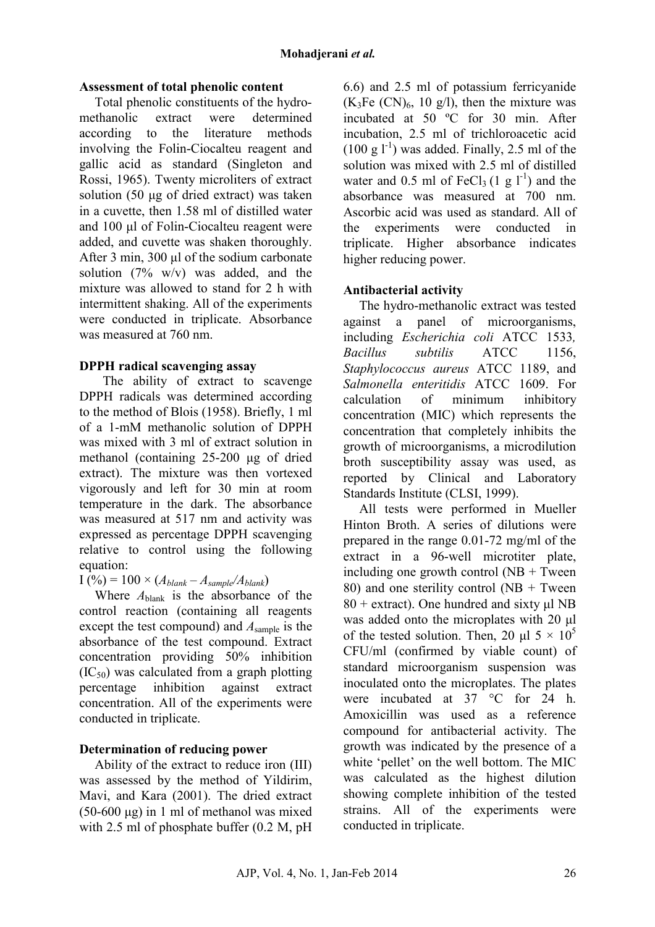### **Assessment of total phenolic content**

Total phenolic constituents of the hydromethanolic extract were determined according to the literature methods involving the Folin-Ciocalteu reagent and gallic acid as standard (Singleton and Rossi, 1965). Twenty microliters of extract solution (50 µg of dried extract) was taken in a cuvette, then 1.58 ml of distilled water and 100 µl of Folin-Ciocalteu reagent were added, and cuvette was shaken thoroughly. After 3 min, 300 µl of the sodium carbonate solution  $(7\% \t w/v)$  was added, and the mixture was allowed to stand for 2 h with intermittent shaking. All of the experiments were conducted in triplicate. Absorbance was measured at 760 nm.

### **DPPH radical scavenging assay**

The ability of extract to scavenge DPPH radicals was determined according to the method of Blois (1958). Briefly, 1 ml of a 1-mM methanolic solution of DPPH was mixed with 3 ml of extract solution in methanol (containing 25-200 µg of dried extract). The mixture was then vortexed vigorously and left for 30 min at room temperature in the dark. The absorbance was measured at 517 nm and activity was expressed as percentage DPPH scavenging relative to control using the following equation:

 $I(\%) = 100 \times (A_{blank} - A_{sample}/A_{blank})$ 

Where *A*blank is the absorbance of the control reaction (containing all reagents except the test compound) and *A*sample is the absorbance of the test compound. Extract concentration providing 50% inhibition  $(IC_{50})$  was calculated from a graph plotting<br>percentage inhibition against extract percentage inhibition against extract concentration. All of the experiments were conducted in triplicate.

# **Determination of reducing power**

Ability of the extract to reduce iron (III) was assessed by the method of Yildirim, Mavi, and Kara (2001). The dried extract  $(50-600 \mu g)$  in 1 ml of methanol was mixed with 2.5 ml of phosphate buffer (0.2 M, pH) 6.6) and 2.5 ml of potassium ferricyanide  $(K_3Fe~(CN)_6, 10 g/l)$ , then the mixture was incubated at 50 ºC for 30 min. After incubation, 2.5 ml of trichloroacetic acid  $(100 \text{ g }$ l<sup>-1</sup>) was added. Finally, 2.5 ml of the solution was mixed with 2.5 ml of distilled water and 0.5 ml of FeCl<sub>3</sub> (1 g  $l^{-1}$ ) and the absorbance was measured at 700 nm. Ascorbic acid was used as standard. All of the experiments were conducted in triplicate. Higher absorbance indicates higher reducing power.

## **Antibacterial activity**

The hydro-methanolic extract was tested against a panel of microorganisms, including *Escherichia coli* ATCC 1533*, Bacillus subtilis* ATCC 1156, *Staphylococcus aureus* ATCC 1189, and *Salmonella enteritidis* ATCC 1609. For calculation of minimum inhibitory concentration (MIC) which represents the concentration that completely inhibits the growth of microorganisms, a microdilution broth susceptibility assay was used, as reported by Clinical and Laboratory Standards Institute (CLSI, 1999).

All tests were performed in Mueller Hinton Broth. A series of dilutions were prepared in the range 0.01-72 mg/ml of the extract in a 96-well microtiter plate, including one growth control  $(NB + Tw$ een 80) and one sterility control  $(NB + Twee$  $80 +$  extract). One hundred and sixty  $\mu$ l NB was added onto the microplates with 20  $\mu$ l of the tested solution. Then, 20  $\mu$ l 5 × 10<sup>5</sup> CFU/ml (confirmed by viable count) of standard microorganism suspension was inoculated onto the microplates. The plates were incubated at 37 °C for 24 h. Amoxicillin was used as a reference compound for antibacterial activity. The growth was indicated by the presence of a white 'pellet' on the well bottom. The MIC was calculated as the highest dilution showing complete inhibition of the tested strains. All of the experiments were conducted in triplicate.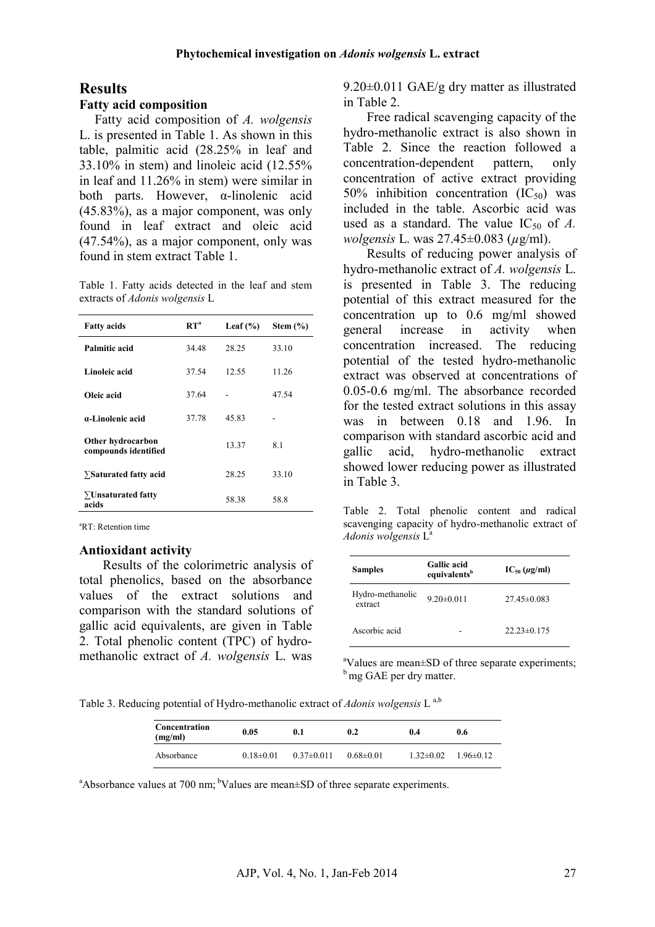#### **Results**

#### **Fatty acid composition**

Fatty acid composition of *A. wolgensis* L. is presented in Table 1. As shown in this table, palmitic acid (28.25% in leaf and 33.10% in stem) and linoleic acid (12.55% in leaf and 11.26% in stem) were similar in both parts. However, α-linolenic acid (45.83%), as a major component, was only found in leaf extract and oleic acid (47.54%), as a major component, only was found in stem extract Table 1.

Table 1. Fatty acids detected in the leaf and stem extracts of *Adonis wolgensis* L

| <b>Fatty acids</b>                        | $\mathbf{R} \mathbf{T}^{\mathbf{a}}$ | Leaf $(\% )$ | Stem $(\% )$ |
|-------------------------------------------|--------------------------------------|--------------|--------------|
| Palmitic acid                             | 34.48                                | 28.25        | 33.10        |
| Linoleic acid                             | 37.54                                | 12.55        | 11.26        |
| Oleic acid                                | 37.64                                |              | 47.54        |
| a-Linolenic acid                          | 37.78                                | 45.83        |              |
| Other hydrocarbon<br>compounds identified |                                      | 13.37        | 8.1          |
| $\Sigma$ Saturated fatty acid             |                                      | 28.25        | 33.10        |
| $\Sigma$ Unsaturated fatty<br>acids       |                                      | 58.38        | 58.8         |

<sup>a</sup>RT: Retention time

#### **Antioxidant activity**

Results of the colorimetric analysis of total phenolics, based on the absorbance values of the extract solutions and comparison with the standard solutions of gallic acid equivalents, are given in Table 2. Total phenolic content (TPC) of hydromethanolic extract of *A. wolgensis* L. was

9.20±0.011 GAE/g dry matter as illustrated in Table 2.

Free radical scavenging capacity of the hydro-methanolic extract is also shown in Table 2. Since the reaction followed a concentration-dependent pattern, only concentration of active extract providing 50% inhibition concentration  $(IC_{50})$  was included in the table. Ascorbic acid was used as a standard. The value  $IC_{50}$  of A. *wolgensis* L. was 27.45±0.083 (*µ*g/ml).

Results of reducing power analysis of hydro-methanolic extract of *A. wolgensis* L. is presented in Table 3. The reducing potential of this extract measured for the concentration up to 0.6 mg/ml showed general increase in activity when concentration increased. The reducing potential of the tested hydro-methanolic extract was observed at concentrations of 0.05-0.6 mg/ml. The absorbance recorded for the tested extract solutions in this assay was in between 0.18 and 1.96 In comparison with standard ascorbic acid and gallic acid, hydro-methanolic extract showed lower reducing power as illustrated in Table 3.

Table 2. Total phenolic content and radical scavenging capacity of hydro-methanolic extract of *Adonis wolgensis* L<sup>a</sup>

| <b>Samples</b>              | <b>Gallic</b> acid<br>equivalents <sup>b</sup> | $IC_{50}$ ( $\mu$ g/ml) |
|-----------------------------|------------------------------------------------|-------------------------|
| Hydro-methanolic<br>extract | $9.20 \pm 0.011$                               | $27.45\pm 0.083$        |
| Ascorbic acid               |                                                | $22.23\pm 0.175$        |

<sup>a</sup>Values are mean±SD of three separate experiments; <sup>b</sup> mg GAE per dry matter.

Table 3. Reducing potential of Hydro-methanolic extract of *Adonis wolgensis* L a,b

| Concentration<br>(mg/ml) | 0.05            | $0.1\,$        | 0.2             | 0.4             | 0.6           |
|--------------------------|-----------------|----------------|-----------------|-----------------|---------------|
| Absorbance               | $0.18 \pm 0.01$ | $0.37\pm0.011$ | $0.68 \pm 0.01$ | $1.32 \pm 0.02$ | $1.96\pm0.12$ |

<sup>a</sup>Absorbance values at 700 nm; <sup>b</sup>Values are mean $\pm$ SD of three separate experiments.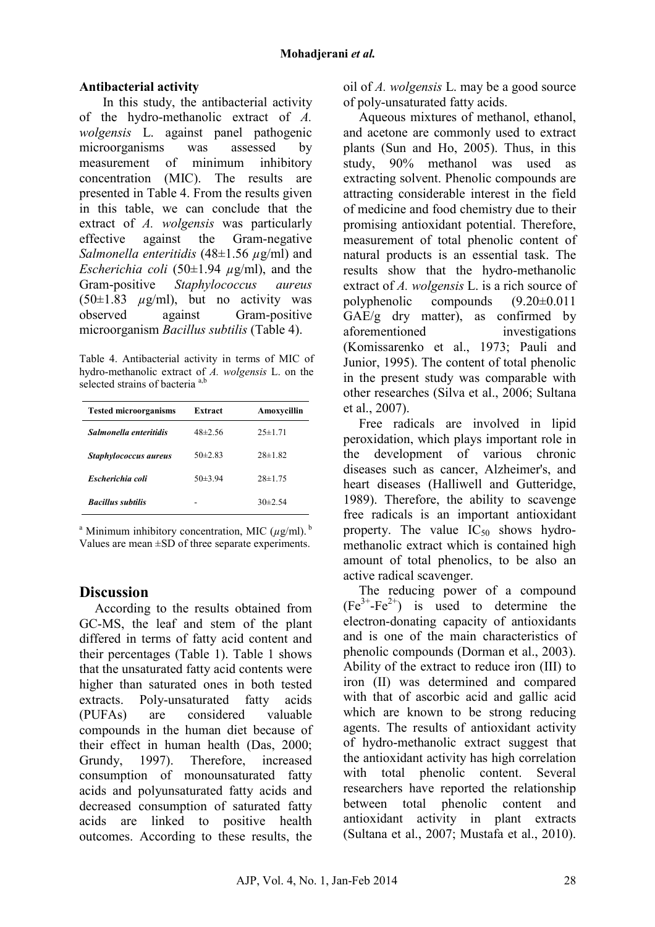### **Antibacterial activity**

In this study, the antibacterial activity of the hydro-methanolic extract of *A. wolgensis* L. against panel pathogenic microorganisms was assessed by measurement of minimum inhibitory<br>concentration (MIC). The results are concentration (MIC). presented in Table 4. From the results given in this table, we can conclude that the extract of *A. wolgensis* was particularly effective against the Gram-negative *Salmonella enteritidis* (48±1.56 *µ*g/ml) and *Escherichia coli* (50±1.94 *µ*g/ml), and the Gram-positive *Staphylococcus aureus*  $(50\pm1.83 \mu g/ml)$ , but no activity was observed against Gram-positive microorganism *Bacillus subtilis* (Table 4).

Table 4. Antibacterial activity in terms of MIC of hydro-methanolic extract of *A. wolgensis* L. on the selected strains of bacteria<sup>a,b</sup>

| <b>Tested microorganisms</b> | Extract      | Amoxycillin   |
|------------------------------|--------------|---------------|
| Salmonella enteritidis       | $48\pm2.56$  | $25 \pm 1.71$ |
| Staphylococcus aureus        | $50\pm 2.83$ | $28 \pm 1.82$ |
| Escherichia coli             | $50\pm3.94$  | $28\pm1.75$   |
| <b>Bacillus subtilis</b>     |              | $30\pm 2.54$  |

<sup>a</sup> Minimum inhibitory concentration, MIC  $(\mu g/ml)$ .<sup>b</sup> Values are mean ±SD of three separate experiments.

# **Discussion**

According to the results obtained from GC-MS, the leaf and stem of the plant differed in terms of fatty acid content and their percentages (Table 1). Table 1 shows that the unsaturated fatty acid contents were higher than saturated ones in both tested extracts. Poly-unsaturated fatty acids (PUFAs) are considered valuable compounds in the human diet because of their effect in human health (Das, 2000; Grundy, 1997). Therefore, increased consumption of monounsaturated fatty acids and polyunsaturated fatty acids and decreased consumption of saturated fatty acids are linked to positive health outcomes. According to these results, the oil of *A. wolgensis* L. may be a good source of poly-unsaturated fatty acids.

Aqueous mixtures of methanol, ethanol, and acetone are commonly used to extract plants (Sun and Ho, 2005). Thus, in this study, 90% methanol was used as extracting solvent. Phenolic compounds are attracting considerable interest in the field of medicine and food chemistry due to their promising antioxidant potential. Therefore, measurement of total phenolic content of natural products is an essential task. The results show that the hydro-methanolic extract of *A. wolgensis* L. is a rich source of polyphenolic compounds (9.20±0.011  $GAE/g$  dry matter), as confirmed by aforementioned investigations (Komissarenko et al., 1973; Pauli and Junior, 1995). The content of total phenolic in the present study was comparable with other researches (Silva et al., 2006; Sultana et al., 2007).

Free radicals are involved in lipid peroxidation, which plays important role in the development of various chronic diseases such as cancer, Alzheimer's, and heart diseases (Halliwell and Gutteridge, 1989). Therefore, the ability to scavenge free radicals is an important antioxidant property. The value  $IC_{50}$  shows hydromethanolic extract which is contained high amount of total phenolics, to be also an active radical scavenger.

The reducing power of a compound  $(Fe<sup>3+</sup>-Fe<sup>2+</sup>)$  is used to determine the electron-donating capacity of antioxidants and is one of the main characteristics of phenolic compounds (Dorman et al., 2003). Ability of the extract to reduce iron (III) to iron (II) was determined and compared with that of ascorbic acid and gallic acid which are known to be strong reducing agents. The results of antioxidant activity of hydro-methanolic extract suggest that the antioxidant activity has high correlation with total phenolic content. Several researchers have reported the relationship between total phenolic content and antioxidant activity in plant extracts (Sultana et al., 2007; Mustafa et al., 2010).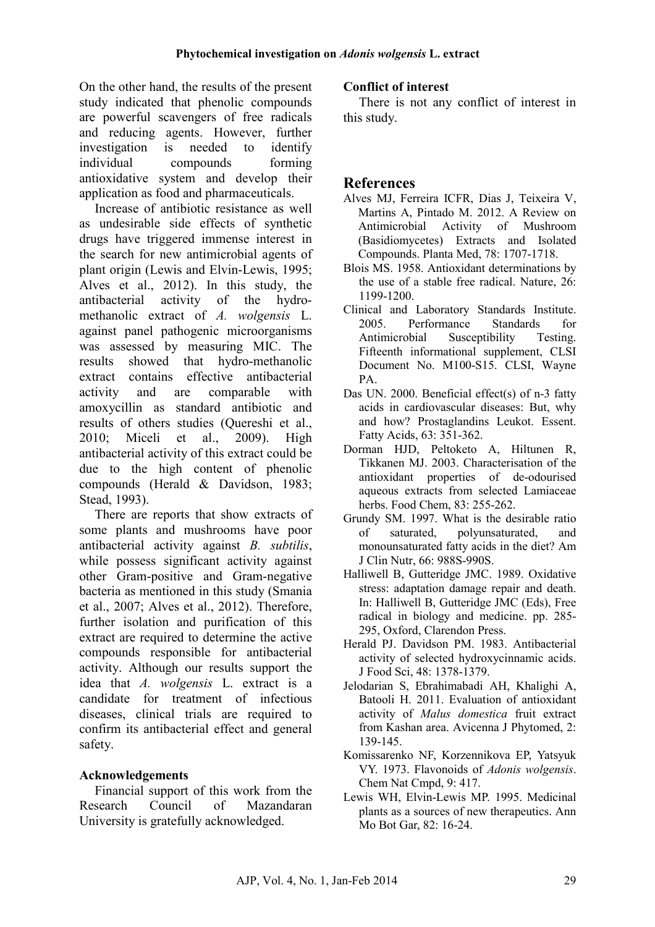On the other hand, the results of the present study indicated that phenolic compounds are powerful scavengers of free radicals and reducing agents. However, further investigation is needed to identify individual compounds forming antioxidative system and develop their application as food and pharmaceuticals.

Increase of antibiotic resistance as well as undesirable side effects of synthetic drugs have triggered immense interest in the search for new antimicrobial agents of plant origin (Lewis and Elvin-Lewis, 1995; Alves et al., 2012). In this study, the antibacterial activity of the hydromethanolic extract of *A. wolgensis* L. against panel pathogenic microorganisms was assessed by measuring MIC. The results showed that hydro-methanolic extract contains effective antibacterial activity and are comparable with amoxycillin as standard antibiotic and results of others studies (Quereshi et al., 2010; Miceli et al., 2009). High antibacterial activity of this extract could be due to the high content of phenolic compounds (Herald & Davidson, 1983; Stead, 1993).

There are reports that show extracts of some plants and mushrooms have poor antibacterial activity against *B. subtilis*, while possess significant activity against other Gram-positive and Gram-negative bacteria as mentioned in this study (Smania et al., 2007; Alves et al., 2012). Therefore, further isolation and purification of this extract are required to determine the active compounds responsible for antibacterial activity. Although our results support the idea that *A. wolgensis* L. extract is a candidate for treatment of infectious diseases, clinical trials are required to confirm its antibacterial effect and general safety.

### **Acknowledgements**

Financial support of this work from the Research Council of Mazandaran University is gratefully acknowledged.

### **Conflict of interest**

There is not any conflict of interest in this study.

# **References**

- Alves MJ, Ferreira ICFR, Dias J, Teixeira V, Martins A, Pintado M. 2012. A Review on Antimicrobial Activity of Mushroom (Basidiomycetes) Extracts and Isolated Compounds. Planta Med, 78: 1707-1718.
- Blois MS. 1958. Antioxidant determinations by the use of a stable free radical. Nature, 26: 1199-1200.
- Clinical and Laboratory Standards Institute. 2005. Performance Standards for Antimicrobial Susceptibility Testing. Fifteenth informational supplement, CLSI Document No. M100-S15. CLSI, Wayne PA.
- Das UN. 2000. Beneficial effect(s) of n-3 fatty acids in cardiovascular diseases: But, why and how? Prostaglandins Leukot. Essent. Fatty Acids, 63: 351-362.
- Dorman HJD, Peltoketo A, Hiltunen R, Tikkanen MJ. 2003. Characterisation of the antioxidant properties of de-odourised aqueous extracts from selected Lamiaceae herbs. Food Chem, 83: 255-262.
- Grundy SM. 1997. What is the desirable ratio of saturated, polyunsaturated, and monounsaturated fatty acids in the diet? Am J Clin Nutr, 66: 988S-990S.
- Halliwell B, Gutteridge JMC. 1989. Oxidative stress: adaptation damage repair and death. In: Halliwell B, Gutteridge JMC (Eds), Free radical in biology and medicine. pp. 285- 295, Oxford, Clarendon Press.
- Herald PJ. Davidson PM. 1983. Antibacterial activity of selected hydroxycinnamic acids. J Food Sci, 48: 1378-1379.
- Jelodarian S, Ebrahimabadi AH, Khalighi A, Batooli H. 2011. Evaluation of antioxidant activity of *Malus domestica* fruit extract from Kashan area. Avicenna J Phytomed, 2: 139-145.
- Komissarenko NF, Korzennikova EP, Yatsyuk VY. 1973. Flavonoids of *Adonis wolgensis*. Chem Nat Cmpd, 9: 417.
- Lewis WH, Elvin-Lewis MP. 1995. Medicinal plants as a sources of new therapeutics. Ann Mo Bot Gar, 82: 16-24.